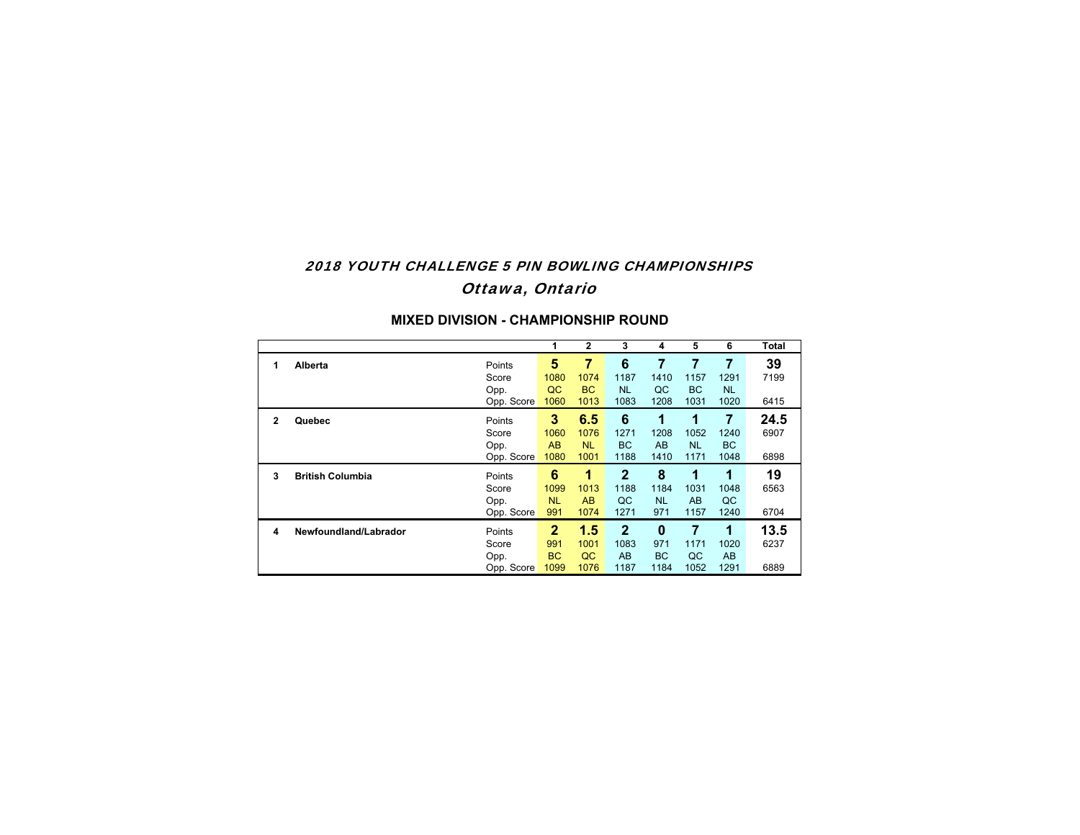# 2018 YOUTH CHALLENGE 5 PIN BOWLING CHAMPIONSHIPSOttawa, Ontario

|   |                         |            | 1            | $\overline{2}$ | 3            | 4         | 5         | 6         | Total |
|---|-------------------------|------------|--------------|----------------|--------------|-----------|-----------|-----------|-------|
| 1 | Alberta                 | Points     | 5            | 7              | 6            |           | 7         | 7         | 39    |
|   |                         | Score      | 1080         | 1074           | 1187         | 1410      | 1157      | 1291      | 7199  |
|   |                         | Opp.       | QC           | <b>BC</b>      | <b>NL</b>    | QC        | <b>BC</b> | <b>NL</b> |       |
|   |                         | Opp. Score | 1060         | 1013           | 1083         | 1208      | 1031      | 1020      | 6415  |
| 2 | Quebec                  | Points     | 3            | 6.5            | 6            | 1         | 1         | 7         | 24.5  |
|   |                         | Score      | 1060         | 1076           | 1271         | 1208      | 1052      | 1240      | 6907  |
|   |                         | Opp.       | AB           | <b>NL</b>      | <b>BC</b>    | AB        | <b>NL</b> | <b>BC</b> |       |
|   |                         | Opp. Score | 1080         | 1001           | 1188         | 1410      | 1171      | 1048      | 6898  |
| 3 | <b>British Columbia</b> | Points     | 6            | 1              | $\mathbf 2$  | 8         | 1         | 1         | 19    |
|   |                         | Score      | 1099         | 1013           | 1188         | 1184      | 1031      | 1048      | 6563  |
|   |                         | Opp.       | <b>NL</b>    | AB             | QC           | <b>NL</b> | AB        | QC        |       |
|   |                         | Opp. Score | 991          | 1074           | 1271         | 971       | 1157      | 1240      | 6704  |
| 4 | Newfoundland/Labrador   | Points     | $\mathbf{2}$ | 1.5            | $\mathbf{2}$ | $\bf{0}$  | 7         | 1         | 13.5  |
|   |                         | Score      | 991          | 1001           | 1083         | 971       | 1171      | 1020      | 6237  |
|   |                         | Opp.       | <b>BC</b>    | QC             | AB           | <b>BC</b> | QC        | AB        |       |
|   |                         | Opp. Score | 1099         | 1076           | 1187         | 1184      | 1052      | 1291      | 6889  |

#### **MIXED DIVISION - CHAMPIONSHIP ROUND**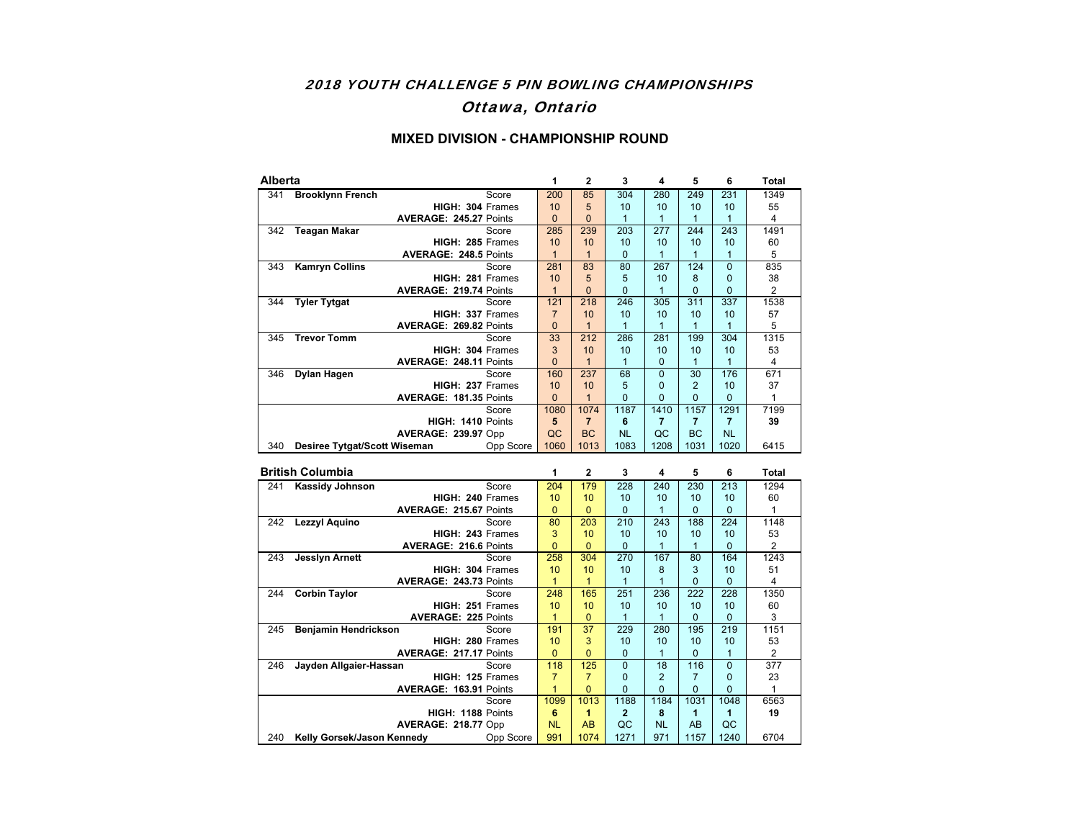## 2018 YOUTH CHALLENGE 5 PIN BOWLING CHAMPIONSHIPS Ottawa, Ontario

#### **MIXED DIVISION - CHAMPIONSHIP ROUND**

| Alberta |                              |                               |                  |                | 2         | 3         | 4        | 5              | 6         | <b>Total</b>   |
|---------|------------------------------|-------------------------------|------------------|----------------|-----------|-----------|----------|----------------|-----------|----------------|
| 341     | <b>Brooklynn French</b>      |                               | Score            | 200            | 85        | 304       | 280      | 249            | 231       | 1349           |
|         |                              | HIGH: 304 Frames              |                  | 10             | 5         | 10        | 10       | 10             | 10        | 55             |
|         |                              | AVERAGE: 245.27 Points        |                  | $\Omega$       | 0         |           | 1        |                |           | 4              |
| 342     | <b>Teagan Makar</b>          |                               | Score            | 285            | 239       | 203       | 277      | 244            | 243       | 1491           |
|         |                              | HIGH: 285 Frames              |                  | 10             | 10        | 10        | 10       | 10             | 10        | 60             |
|         |                              | <b>AVERAGE: 248.5 Points</b>  |                  |                |           | 0         |          |                |           | 5              |
| 343     | <b>Kamryn Collins</b>        |                               | Score            | 281            | 83        | 80        | 267      | 124            | $\Omega$  | 835            |
|         |                              | HIGH: 281 Frames              |                  | 10             | 5         | 5         | 10       | 8              | $\Omega$  | 38             |
|         |                              | AVERAGE: 219.74 Points        |                  |                | 0         | $\Omega$  | 1        | $\mathbf 0$    | $\Omega$  | $\overline{c}$ |
| 344     | <b>Tyler Tytgat</b>          |                               | Score            | 121            | 218       | 246       | 305      | 311            | 337       | 1538           |
|         |                              | HIGH: 337 Frames              |                  | $\overline{7}$ | 10        | 10        | 10       | 10             | 10        | 57             |
|         |                              | AVERAGE: 269.82 Points        |                  | $\Omega$       | 1         | 1         | 1        | 1              |           | 5              |
| 345     | <b>Trevor Tomm</b>           |                               | Score            | 33             | 212       | 286       | 281      | 199            | 304       | 1315           |
|         |                              | HIGH: 304 Frames              |                  | 3              | 10        | 10        | 10       | 10             | 10        | 53             |
|         |                              | <b>AVERAGE: 248.11 Points</b> |                  | $\Omega$       | 1         | 1         | $\Omega$ | 1              |           | 4              |
| 346     | Dylan Hagen                  |                               | Score            | 160            | 237       | 68        | $\Omega$ | 30             | 176       | 671            |
|         |                              | HIGH: 237 Frames              |                  | 10             | 10        | 5         | $\Omega$ | $\overline{2}$ | 10        | 37             |
|         |                              | AVERAGE: 181.35 Points        |                  | $\Omega$       |           | $\Omega$  | $\Omega$ | $\Omega$       | $\Omega$  |                |
|         |                              |                               | Score            | 1080           | 1074      | 1187      | 1410     | 1157           | 1291      | 7199           |
|         |                              | HIGH: 1410 Points             |                  | 5              | 7         | 6         | 7        | 7              | 7         | 39             |
|         |                              | <b>AVERAGE: 239.97 Opp</b>    |                  | QC             | <b>BC</b> | <b>NL</b> | QC       | <b>BC</b>      | <b>NL</b> |                |
| 340     | Desiree Tytgat/Scott Wiseman |                               | <b>Opp Score</b> | 1060           | 1013      | 1083      | 1208     | 1031           | 1020      | 6415           |

|     | <b>British Columbia</b>       |                  |           | $\mathbf{2}$   | 3              | 4              | 5    | 6        | Total |
|-----|-------------------------------|------------------|-----------|----------------|----------------|----------------|------|----------|-------|
| 241 | Kassidy Johnson               | Score            | 204       | 179            | 228            | 240            | 230  | 213      | 1294  |
|     | HIGH: 240 Frames              |                  | 10        | 10             | 10             | 10             | 10   | 10       | 60    |
|     | AVERAGE: 215.67 Points        |                  | $\Omega$  | $\Omega$       | 0              | 1              | 0    | $\Omega$ |       |
| 242 | Lezzyl Aguino                 | Score            | 80        | 203            | 210            | 243            | 188  | 224      | 1148  |
|     | HIGH: 243 Frames              |                  | 3         | 10             | 10             | 10             | 10   | 10       | 53    |
|     | <b>AVERAGE: 216.6 Points</b>  |                  | $\Omega$  | $\Omega$       | $\Omega$       | 1              |      | $\Omega$ | 2     |
| 243 | Jesslyn Arnett                | Score            | 258       | 304            | 270            | 167            | 80   | 164      | 1243  |
|     | HIGH: 304 Frames              |                  | 10        | 10             | 10             | 8              | 3    | 10       | 51    |
|     | AVERAGE: 243.73 Points        |                  | 1         |                | 1              |                | 0    | $\Omega$ | 4     |
| 244 | <b>Corbin Taylor</b>          | Score            | 248       | 165            | 251            | 236            | 222  | 228      | 1350  |
|     | HIGH: 251 Frames              |                  | 10        | 10             | 10             | 10             | 10   | 10       | 60    |
|     | <b>AVERAGE: 225 Points</b>    |                  | 1         | $\Omega$       | 1              | 1              | 0    | $\Omega$ | 3     |
| 245 | Benjamin Hendrickson          | Score            | 191       | 37             | 229            | 280            | 195  | 219      | 1151  |
|     | HIGH: 280 Frames              |                  | 10        | 3              | 10             | 10             | 10   | 10       | 53    |
|     | <b>AVERAGE: 217.17 Points</b> |                  | $\Omega$  | $\overline{0}$ | $\Omega$       | 1              | 0    | 1        | 2     |
| 246 | Jayden Allgaier-Hassan        | Score            | 118       | 125            | $\Omega$       | 18             | 116  | $\Omega$ | 377   |
|     | HIGH: 125 Frames              |                  |           | 7              | $\Omega$       | $\mathfrak{p}$ | 7    | $\Omega$ | 23    |
|     | AVERAGE: 163.91 Points        |                  | 1         | $\Omega$       | $\Omega$       | $\Omega$       | 0    | $\Omega$ |       |
|     |                               | Score            | 1099      | 1013           | 1188           | 1184           | 1031 | 1048     | 6563  |
|     | HIGH: 1188 Points             |                  | 6         |                | $\overline{2}$ | 8              | 1    | 1        | 19    |
|     | <b>AVERAGE: 218.77 Opp</b>    |                  | <b>NL</b> | AB             | QC             | <b>NL</b>      | AB   | QC       |       |
| 240 | Kelly Gorsek/Jason Kennedy    | <b>Opp Score</b> | 991       | 1074           | 1271           | 971            | 1157 | 1240     | 6704  |